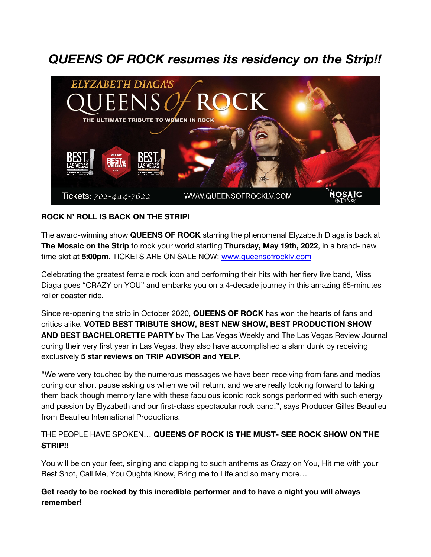## *QUEENS OF ROCK resumes its residency on the Strip!!*



## **ROCK N' ROLL IS BACK ON THE STRIP!**

The award-winning show **QUEENS OF ROCK** starring the phenomenal Elyzabeth Diaga is back at **The Mosaic on the Strip** to rock your world starting **Thursday, May 19th, 2022**, in a brand- new time slot at **5:00pm.** TICKETS ARE ON SALE NOW: www.queensofrocklv.com

Celebrating the greatest female rock icon and performing their hits with her fiery live band, Miss Diaga goes "CRAZY on YOU" and embarks you on a 4-decade journey in this amazing 65-minutes roller coaster ride.

Since re-opening the strip in October 2020, **QUEENS OF ROCK** has won the hearts of fans and critics alike. **VOTED BEST TRIBUTE SHOW, BEST NEW SHOW, BEST PRODUCTION SHOW AND BEST BACHELORETTE PARTY** by The Las Vegas Weekly and The Las Vegas Review Journal during their very first year in Las Vegas, they also have accomplished a slam dunk by receiving exclusively **5 star reviews on TRIP ADVISOR and YELP**.

"We were very touched by the numerous messages we have been receiving from fans and medias during our short pause asking us when we will return, and we are really looking forward to taking them back though memory lane with these fabulous iconic rock songs performed with such energy and passion by Elyzabeth and our first-class spectacular rock band!", says Producer Gilles Beaulieu from Beaulieu International Productions.

## THE PEOPLE HAVE SPOKEN… **QUEENS OF ROCK IS THE MUST- SEE ROCK SHOW ON THE STRIP!!**

You will be on your feet, singing and clapping to such anthems as Crazy on You, Hit me with your Best Shot, Call Me, You Oughta Know, Bring me to Life and so many more…

**Get ready to be rocked by this incredible performer and to have a night you will always remember!**